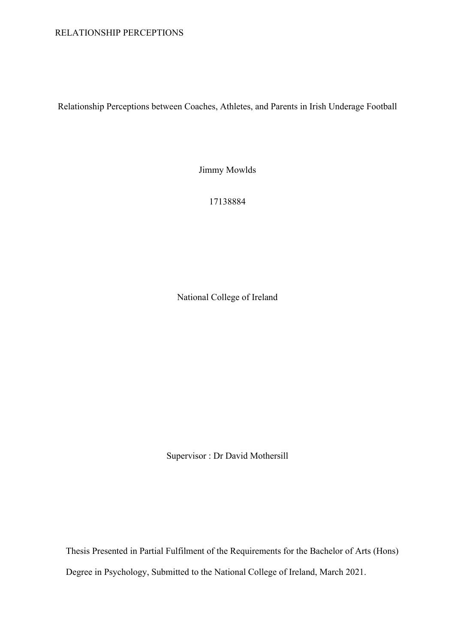### RELATIONSHIP PERCEPTIONS

Relationship Perceptions between Coaches, Athletes, and Parents in Irish Underage Football

Jimmy Mowlds

17138884

National College of Ireland

Supervisor : Dr David Mothersill

Thesis Presented in Partial Fulfilment of the Requirements for the Bachelor of Arts (Hons) Degree in Psychology, Submitted to the National College of Ireland, March 2021.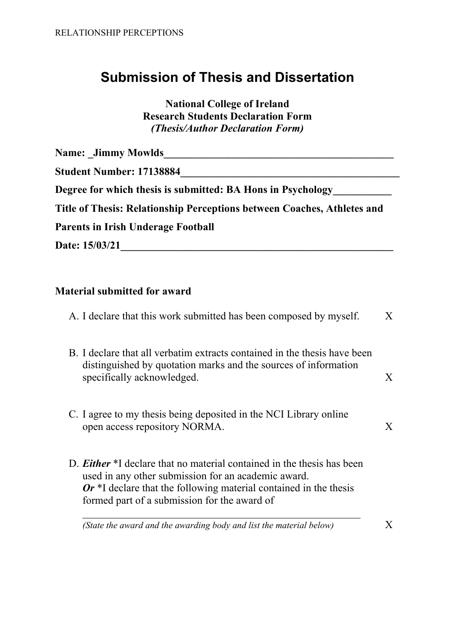# **Submission of Thesis and Dissertation**

**National College of Ireland Research Students Declaration Form** *(Thesis/Author Declaration Form)*

| <b>Name:</b> Jimmy Mowlds                                               |  |
|-------------------------------------------------------------------------|--|
| <b>Student Number: 17138884</b>                                         |  |
| Degree for which thesis is submitted: BA Hons in Psychology             |  |
| Title of Thesis: Relationship Perceptions between Coaches, Athletes and |  |
| <b>Parents in Irish Underage Football</b>                               |  |
| Date: 15/03/21                                                          |  |

# **Material submitted for award**

| A. I declare that this work submitted has been composed by myself.                                                                                                                                                                                          | $\mathbf{X}$ |
|-------------------------------------------------------------------------------------------------------------------------------------------------------------------------------------------------------------------------------------------------------------|--------------|
| B. I declare that all verbatim extracts contained in the thesis have been<br>distinguished by quotation marks and the sources of information<br>specifically acknowledged.                                                                                  | X            |
| C. I agree to my thesis being deposited in the NCI Library online<br>open access repository NORMA.                                                                                                                                                          | X            |
| D. <i>Either</i> *I declare that no material contained in the thesis has been<br>used in any other submission for an academic award.<br>$Or$ *I declare that the following material contained in the thesis<br>formed part of a submission for the award of |              |
| (State the award and the awarding body and list the material below)                                                                                                                                                                                         |              |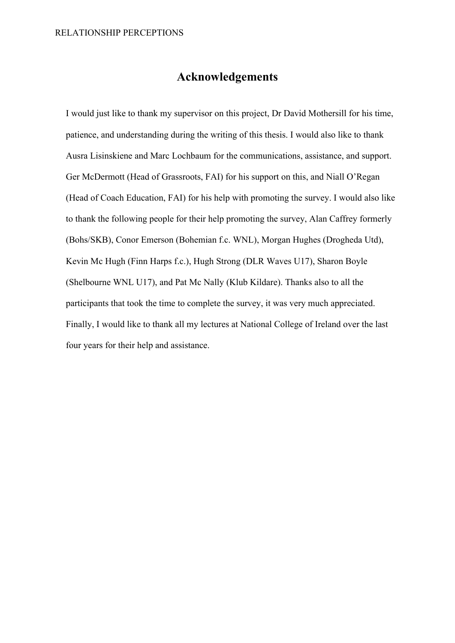# **Acknowledgements**

<span id="page-2-0"></span>I would just like to thank my supervisor on this project, Dr David Mothersill for his time, patience, and understanding during the writing of this thesis. I would also like to thank Ausra Lisinskiene and Marc Lochbaum for the communications, assistance, and support. Ger McDermott (Head of Grassroots, FAI) for his support on this, and Niall O'Regan (Head of Coach Education, FAI) for his help with promoting the survey. I would also like to thank the following people for their help promoting the survey, Alan Caffrey formerly (Bohs/SKB), Conor Emerson (Bohemian f.c. WNL), Morgan Hughes (Drogheda Utd), Kevin Mc Hugh (Finn Harps f.c.), Hugh Strong (DLR Waves U17), Sharon Boyle (Shelbourne WNL U17), and Pat Mc Nally (Klub Kildare). Thanks also to all the participants that took the time to complete the survey, it was very much appreciated. Finally, I would like to thank all my lectures at National College of Ireland over the last four years for their help and assistance.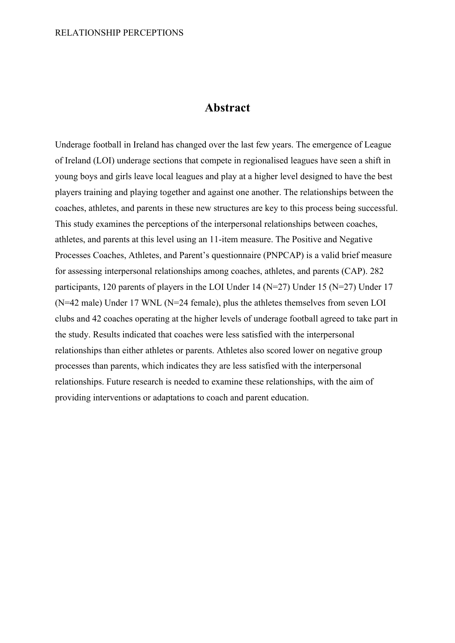## **Abstract**

Underage football in Ireland has changed over the last few years. The emergence of League of Ireland (LOI) underage sections that compete in regionalised leagues have seen a shift in young boys and girls leave local leagues and play at a higher level designed to have the best players training and playing together and against one another. The relationships between the coaches, athletes, and parents in these new structures are key to this process being successful. This study examines the perceptions of the interpersonal relationships between coaches, athletes, and parents at this level using an 11-item measure. The Positive and Negative Processes Coaches, Athletes, and Parent's questionnaire (PNPCAP) is a valid brief measure for assessing interpersonal relationships among coaches, athletes, and parents (CAP). 282 participants, 120 parents of players in the LOI Under 14 (N=27) Under 15 (N=27) Under 17 (N=42 male) Under 17 WNL (N=24 female), plus the athletes themselves from seven LOI clubs and 42 coaches operating at the higher levels of underage football agreed to take part in the study. Results indicated that coaches were less satisfied with the interpersonal relationships than either athletes or parents. Athletes also scored lower on negative group processes than parents, which indicates they are less satisfied with the interpersonal relationships. Future research is needed to examine these relationships, with the aim of providing interventions or adaptations to coach and parent education.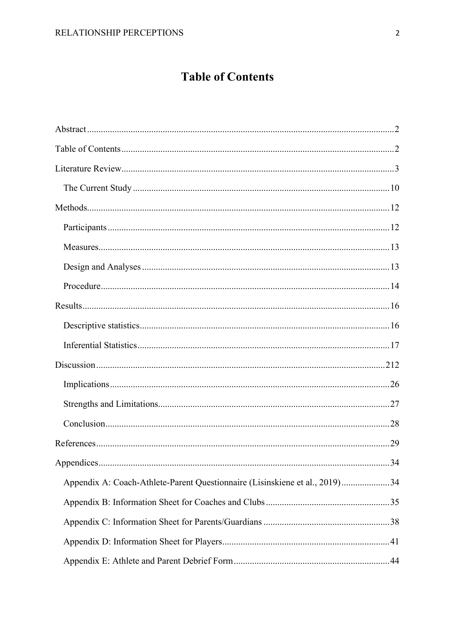# **Table of Contents**

<span id="page-4-0"></span>

|                                                                             | .34 |
|-----------------------------------------------------------------------------|-----|
| Appendix A: Coach-Athlete-Parent Questionnaire (Lisinskiene et al., 2019)34 |     |
|                                                                             |     |
|                                                                             |     |
|                                                                             |     |
|                                                                             |     |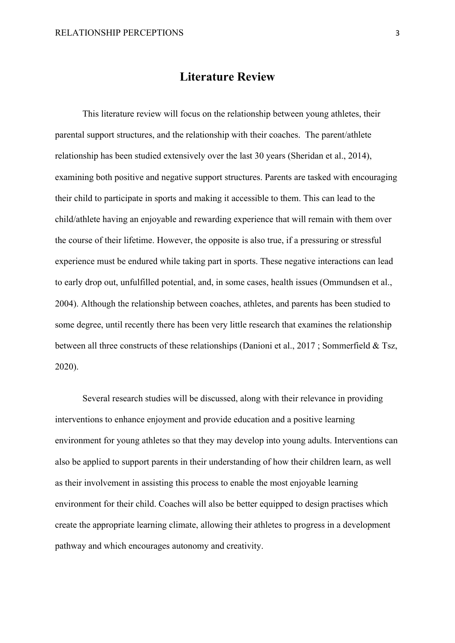## **Literature Review**

<span id="page-5-0"></span>This literature review will focus on the relationship between young athletes, their parental support structures, and the relationship with their coaches. The parent/athlete relationship has been studied extensively over the last 30 years (Sheridan et al., 2014), examining both positive and negative support structures. Parents are tasked with encouraging their child to participate in sports and making it accessible to them. This can lead to the child/athlete having an enjoyable and rewarding experience that will remain with them over the course of their lifetime. However, the opposite is also true, if a pressuring or stressful experience must be endured while taking part in sports. These negative interactions can lead to early drop out, unfulfilled potential, and, in some cases, health issues (Ommundsen et al., 2004). Although the relationship between coaches, athletes, and parents has been studied to some degree, until recently there has been very little research that examines the relationship between all three constructs of these relationships (Danioni et al., 2017 ; Sommerfield & Tsz, 2020).

Several research studies will be discussed, along with their relevance in providing interventions to enhance enjoyment and provide education and a positive learning environment for young athletes so that they may develop into young adults. Interventions can also be applied to support parents in their understanding of how their children learn, as well as their involvement in assisting this process to enable the most enjoyable learning environment for their child. Coaches will also be better equipped to design practises which create the appropriate learning climate, allowing their athletes to progress in a development pathway and which encourages autonomy and creativity.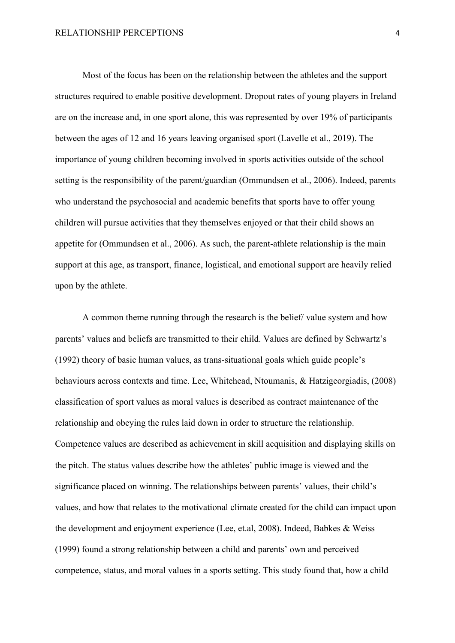Most of the focus has been on the relationship between the athletes and the support structures required to enable positive development. Dropout rates of young players in Ireland are on the increase and, in one sport alone, this was represented by over 19% of participants between the ages of 12 and 16 years leaving organised sport (Lavelle et al., 2019). The importance of young children becoming involved in sports activities outside of the school setting is the responsibility of the parent/guardian (Ommundsen et al., 2006). Indeed, parents who understand the psychosocial and academic benefits that sports have to offer young children will pursue activities that they themselves enjoyed or that their child shows an appetite for (Ommundsen et al., 2006). As such, the parent-athlete relationship is the main support at this age, as transport, finance, logistical, and emotional support are heavily relied upon by the athlete.

A common theme running through the research is the belief/ value system and how parents' values and beliefs are transmitted to their child. Values are defined by Schwartz's (1992) theory of basic human values, as trans-situational goals which guide people's behaviours across contexts and time. Lee, Whitehead, Ntoumanis, & Hatzigeorgiadis, (2008) classification of sport values as moral values is described as contract maintenance of the relationship and obeying the rules laid down in order to structure the relationship. Competence values are described as achievement in skill acquisition and displaying skills on the pitch. The status values describe how the athletes' public image is viewed and the significance placed on winning. The relationships between parents' values, their child's values, and how that relates to the motivational climate created for the child can impact upon the development and enjoyment experience (Lee, et.al, 2008). Indeed, Babkes & Weiss (1999) found a strong relationship between a child and parents' own and perceived competence, status, and moral values in a sports setting. This study found that, how a child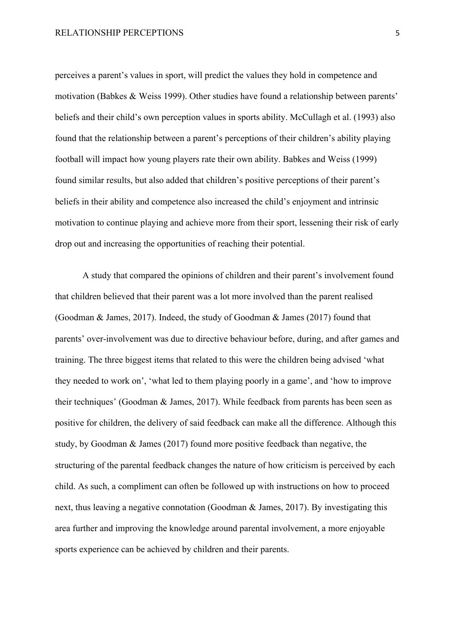perceives a parent's values in sport, will predict the values they hold in competence and motivation (Babkes & Weiss 1999). Other studies have found a relationship between parents' beliefs and their child's own perception values in sports ability. McCullagh et al. (1993) also found that the relationship between a parent's perceptions of their children's ability playing football will impact how young players rate their own ability. Babkes and Weiss (1999) found similar results, but also added that children's positive perceptions of their parent's beliefs in their ability and competence also increased the child's enjoyment and intrinsic motivation to continue playing and achieve more from their sport, lessening their risk of early drop out and increasing the opportunities of reaching their potential.

A study that compared the opinions of children and their parent's involvement found that children believed that their parent was a lot more involved than the parent realised (Goodman & James, 2017). Indeed, the study of Goodman & James (2017) found that parents' over-involvement was due to directive behaviour before, during, and after games and training. The three biggest items that related to this were the children being advised 'what they needed to work on', 'what led to them playing poorly in a game', and 'how to improve their techniques' (Goodman & James, 2017). While feedback from parents has been seen as positive for children, the delivery of said feedback can make all the difference. Although this study, by Goodman & James (2017) found more positive feedback than negative, the structuring of the parental feedback changes the nature of how criticism is perceived by each child. As such, a compliment can often be followed up with instructions on how to proceed next, thus leaving a negative connotation (Goodman & James, 2017). By investigating this area further and improving the knowledge around parental involvement, a more enjoyable sports experience can be achieved by children and their parents.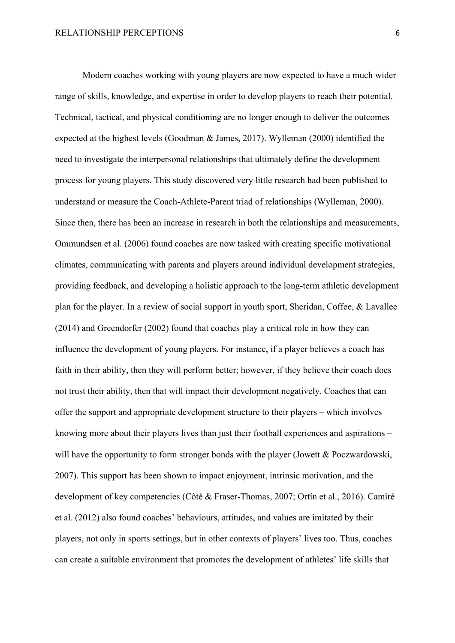Modern coaches working with young players are now expected to have a much wider range of skills, knowledge, and expertise in order to develop players to reach their potential. Technical, tactical, and physical conditioning are no longer enough to deliver the outcomes expected at the highest levels (Goodman & James, 2017). Wylleman (2000) identified the need to investigate the interpersonal relationships that ultimately define the development process for young players. This study discovered very little research had been published to understand or measure the Coach-Athlete-Parent triad of relationships (Wylleman, 2000). Since then, there has been an increase in research in both the relationships and measurements, Ommundsen et al. (2006) found coaches are now tasked with creating specific motivational climates, communicating with parents and players around individual development strategies, providing feedback, and developing a holistic approach to the long-term athletic development plan for the player. In a review of social support in youth sport, Sheridan, Coffee, & Lavallee (2014) and Greendorfer (2002) found that coaches play a critical role in how they can influence the development of young players. For instance, if a player believes a coach has faith in their ability, then they will perform better; however, if they believe their coach does not trust their ability, then that will impact their development negatively. Coaches that can offer the support and appropriate development structure to their players – which involves knowing more about their players lives than just their football experiences and aspirations – will have the opportunity to form stronger bonds with the player (Jowett & Poczwardowski, 2007). This support has been shown to impact enjoyment, intrinsic motivation, and the development of key competencies (Côté & Fraser-Thomas, 2007; Ortín et al., 2016). Camiré et al. (2012) also found coaches' behaviours, attitudes, and values are imitated by their players, not only in sports settings, but in other contexts of players' lives too. Thus, coaches can create a suitable environment that promotes the development of athletes' life skills that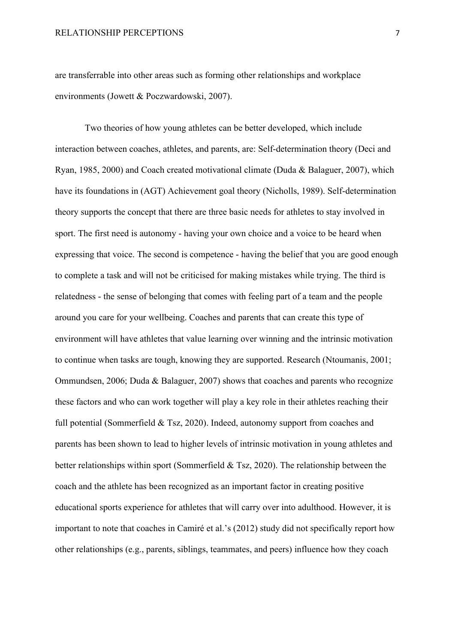are transferrable into other areas such as forming other relationships and workplace environments (Jowett & Poczwardowski, 2007).

Two theories of how young athletes can be better developed, which include interaction between coaches, athletes, and parents, are: Self-determination theory (Deci and Ryan, 1985, 2000) and Coach created motivational climate (Duda & Balaguer, 2007), which have its foundations in (AGT) Achievement goal theory (Nicholls, 1989). Self-determination theory supports the concept that there are three basic needs for athletes to stay involved in sport. The first need is autonomy - having your own choice and a voice to be heard when expressing that voice. The second is competence - having the belief that you are good enough to complete a task and will not be criticised for making mistakes while trying. The third is relatedness - the sense of belonging that comes with feeling part of a team and the people around you care for your wellbeing. Coaches and parents that can create this type of environment will have athletes that value learning over winning and the intrinsic motivation to continue when tasks are tough, knowing they are supported. Research (Ntoumanis, 2001; Ommundsen, 2006; Duda & Balaguer, 2007) shows that coaches and parents who recognize these factors and who can work together will play a key role in their athletes reaching their full potential (Sommerfield & Tsz, 2020). Indeed, autonomy support from coaches and parents has been shown to lead to higher levels of intrinsic motivation in young athletes and better relationships within sport (Sommerfield & Tsz, 2020). The relationship between the coach and the athlete has been recognized as an important factor in creating positive educational sports experience for athletes that will carry over into adulthood. However, it is important to note that coaches in Camiré et al.'s (2012) study did not specifically report how other relationships (e.g., parents, siblings, teammates, and peers) influence how they coach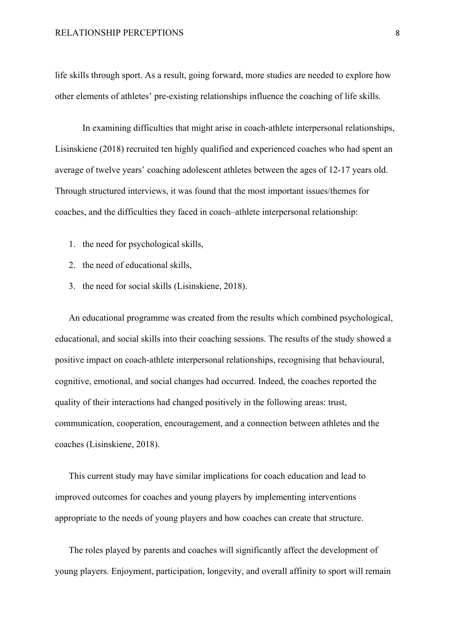life skills through sport. As a result, going forward, more studies are needed to explore how other elements of athletes' pre-existing relationships influence the coaching of life skills.

In examining difficulties that might arise in coach-athlete interpersonal relationships, Lisinskiene (2018) recruited ten highly qualified and experienced coaches who had spent an average of twelve years' coaching adolescent athletes between the ages of 12-17 years old. Through structured interviews, it was found that the most important issues/themes for coaches, and the difficulties they faced in coach–athlete interpersonal relationship:

- 1. the need for psychological skills,
- 2. the need of educational skills,
- 3. the need for social skills (Lisinskiene, 2018).

An educational programme was created from the results which combined psychological, educational, and social skills into their coaching sessions. The results of the study showed a positive impact on coach-athlete interpersonal relationships, recognising that behavioural, cognitive, emotional, and social changes had occurred. Indeed, the coaches reported the quality of their interactions had changed positively in the following areas: trust, communication, cooperation, encouragement, and a connection between athletes and the coaches (Lisinskiene, 2018).

This current study may have similar implications for coach education and lead to improved outcomes for coaches and young players by implementing interventions appropriate to the needs of young players and how coaches can create that structure.

The roles played by parents and coaches will significantly affect the development of young players. Enjoyment, participation, longevity, and overall affinity to sport will remain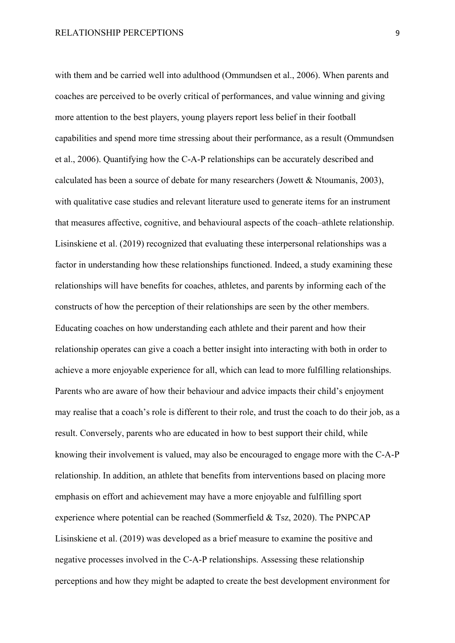with them and be carried well into adulthood (Ommundsen et al., 2006). When parents and coaches are perceived to be overly critical of performances, and value winning and giving more attention to the best players, young players report less belief in their football capabilities and spend more time stressing about their performance, as a result (Ommundsen et al., 2006). Quantifying how the C-A-P relationships can be accurately described and calculated has been a source of debate for many researchers (Jowett & Ntoumanis, 2003), with qualitative case studies and relevant literature used to generate items for an instrument that measures affective, cognitive, and behavioural aspects of the coach–athlete relationship. Lisinskiene et al. (2019) recognized that evaluating these interpersonal relationships was a factor in understanding how these relationships functioned. Indeed, a study examining these relationships will have benefits for coaches, athletes, and parents by informing each of the constructs of how the perception of their relationships are seen by the other members. Educating coaches on how understanding each athlete and their parent and how their relationship operates can give a coach a better insight into interacting with both in order to achieve a more enjoyable experience for all, which can lead to more fulfilling relationships. Parents who are aware of how their behaviour and advice impacts their child's enjoyment may realise that a coach's role is different to their role, and trust the coach to do their job, as a result. Conversely, parents who are educated in how to best support their child, while knowing their involvement is valued, may also be encouraged to engage more with the C-A-P relationship. In addition, an athlete that benefits from interventions based on placing more emphasis on effort and achievement may have a more enjoyable and fulfilling sport experience where potential can be reached (Sommerfield & Tsz, 2020). The PNPCAP Lisinskiene et al. (2019) was developed as a brief measure to examine the positive and negative processes involved in the C-A-P relationships. Assessing these relationship perceptions and how they might be adapted to create the best development environment for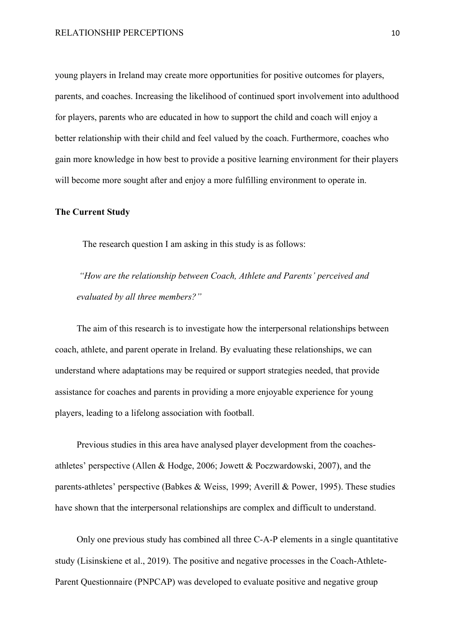young players in Ireland may create more opportunities for positive outcomes for players, parents, and coaches. Increasing the likelihood of continued sport involvement into adulthood for players, parents who are educated in how to support the child and coach will enjoy a better relationship with their child and feel valued by the coach. Furthermore, coaches who gain more knowledge in how best to provide a positive learning environment for their players will become more sought after and enjoy a more fulfilling environment to operate in.

#### <span id="page-12-0"></span>**The Current Study**

The research question I am asking in this study is as follows:

*"How are the relationship between Coach, Athlete and Parents' perceived and evaluated by all three members?"* 

The aim of this research is to investigate how the interpersonal relationships between coach, athlete, and parent operate in Ireland. By evaluating these relationships, we can understand where adaptations may be required or support strategies needed, that provide assistance for coaches and parents in providing a more enjoyable experience for young players, leading to a lifelong association with football.

Previous studies in this area have analysed player development from the coachesathletes' perspective (Allen & Hodge, 2006; Jowett & Poczwardowski, 2007), and the parents-athletes' perspective (Babkes & Weiss, 1999; Averill & Power, 1995). These studies have shown that the interpersonal relationships are complex and difficult to understand.

Only one previous study has combined all three C-A-P elements in a single quantitative study (Lisinskiene et al., 2019). The positive and negative processes in the Coach-Athlete-Parent Questionnaire (PNPCAP) was developed to evaluate positive and negative group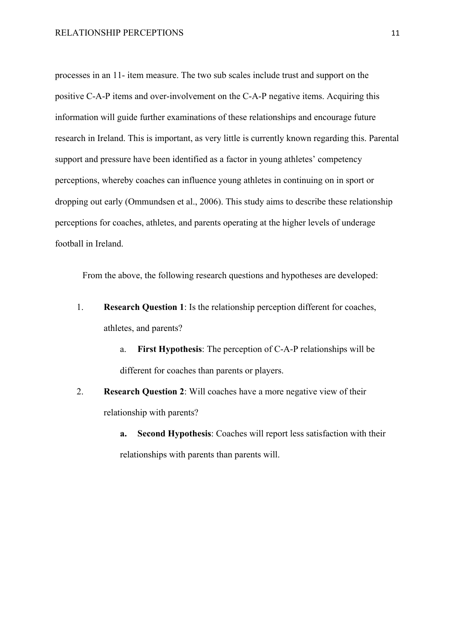processes in an 11- item measure. The two sub scales include trust and support on the positive C-A-P items and over-involvement on the C-A-P negative items. Acquiring this information will guide further examinations of these relationships and encourage future research in Ireland. This is important, as very little is currently known regarding this. Parental support and pressure have been identified as a factor in young athletes' competency perceptions, whereby coaches can influence young athletes in continuing on in sport or dropping out early (Ommundsen et al., 2006). This study aims to describe these relationship perceptions for coaches, athletes, and parents operating at the higher levels of underage football in Ireland.

From the above, the following research questions and hypotheses are developed:

- 1. **Research Question 1**: Is the relationship perception different for coaches, athletes, and parents?
	- a. **First Hypothesis**: The perception of C-A-P relationships will be different for coaches than parents or players.
- 2. **Research Question 2**: Will coaches have a more negative view of their relationship with parents?
	- **a. Second Hypothesis**: Coaches will report less satisfaction with their relationships with parents than parents will.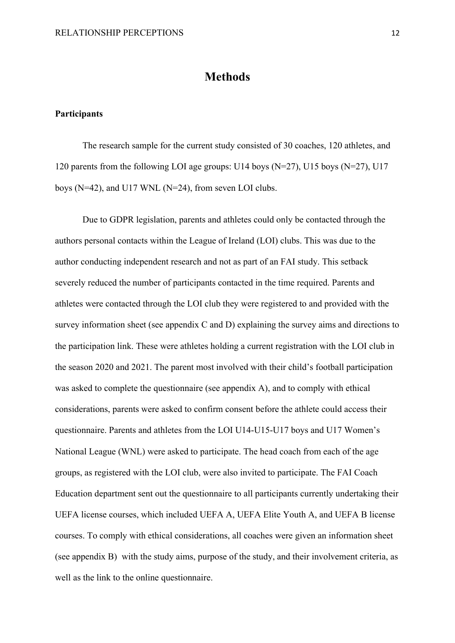## **Methods**

### <span id="page-14-1"></span><span id="page-14-0"></span>**Participants**

The research sample for the current study consisted of 30 coaches, 120 athletes, and 120 parents from the following LOI age groups: U14 boys (N=27), U15 boys (N=27), U17 boys (N=42), and U17 WNL (N=24), from seven LOI clubs.

Due to GDPR legislation, parents and athletes could only be contacted through the authors personal contacts within the League of Ireland (LOI) clubs. This was due to the author conducting independent research and not as part of an FAI study. This setback severely reduced the number of participants contacted in the time required. Parents and athletes were contacted through the LOI club they were registered to and provided with the survey information sheet (see appendix C and D) explaining the survey aims and directions to the participation link. These were athletes holding a current registration with the LOI club in the season 2020 and 2021. The parent most involved with their child's football participation was asked to complete the questionnaire (see appendix A), and to comply with ethical considerations, parents were asked to confirm consent before the athlete could access their questionnaire. Parents and athletes from the LOI U14-U15-U17 boys and U17 Women's National League (WNL) were asked to participate. The head coach from each of the age groups, as registered with the LOI club, were also invited to participate. The FAI Coach Education department sent out the questionnaire to all participants currently undertaking their UEFA license courses, which included UEFA A, UEFA Elite Youth A, and UEFA B license courses. To comply with ethical considerations, all coaches were given an information sheet (see appendix B) with the study aims, purpose of the study, and their involvement criteria, as well as the link to the online questionnaire.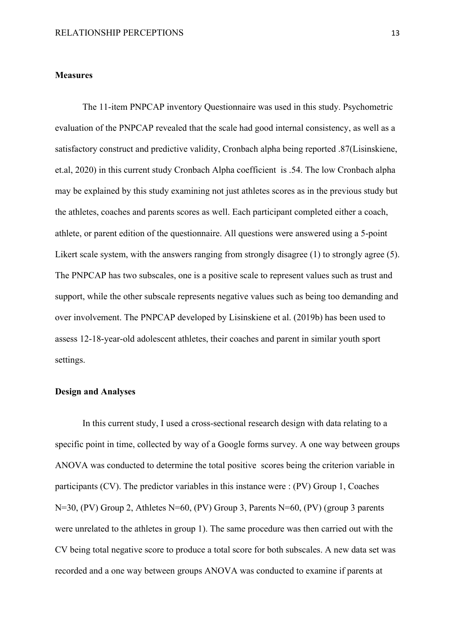#### <span id="page-15-0"></span>**Measures**

The 11-item PNPCAP inventory Questionnaire was used in this study. Psychometric evaluation of the PNPCAP revealed that the scale had good internal consistency, as well as a satisfactory construct and predictive validity, Cronbach alpha being reported .87(Lisinskiene, et.al, 2020) in this current study Cronbach Alpha coefficient is .54. The low Cronbach alpha may be explained by this study examining not just athletes scores as in the previous study but the athletes, coaches and parents scores as well. Each participant completed either a coach, athlete, or parent edition of the questionnaire. All questions were answered using a 5-point Likert scale system, with the answers ranging from strongly disagree (1) to strongly agree (5). The PNPCAP has two subscales, one is a positive scale to represent values such as trust and support, while the other subscale represents negative values such as being too demanding and over involvement. The PNPCAP developed by Lisinskiene et al. (2019b) has been used to assess 12-18-year-old adolescent athletes, their coaches and parent in similar youth sport settings.

### <span id="page-15-1"></span>**Design and Analyses**

In this current study, I used a cross-sectional research design with data relating to a specific point in time, collected by way of a Google forms survey. A one way between groups ANOVA was conducted to determine the total positive scores being the criterion variable in participants (CV). The predictor variables in this instance were : (PV) Group 1, Coaches N=30, (PV) Group 2, Athletes N=60, (PV) Group 3, Parents N=60, (PV) (group 3 parents were unrelated to the athletes in group 1). The same procedure was then carried out with the CV being total negative score to produce a total score for both subscales. A new data set was recorded and a one way between groups ANOVA was conducted to examine if parents at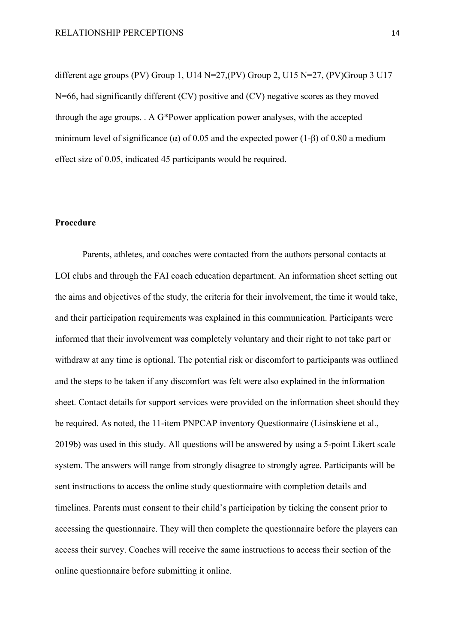different age groups (PV) Group 1, U14  $N=27$ , (PV) Group 2, U15  $N=27$ , (PV) Group 3 U17 N=66, had significantly different (CV) positive and (CV) negative scores as they moved through the age groups. . A G\*Power application power analyses, with the accepted minimum level of significance ( $\alpha$ ) of 0.05 and the expected power (1-β) of 0.80 a medium effect size of 0.05, indicated 45 participants would be required.

### <span id="page-16-0"></span>**Procedure**

Parents, athletes, and coaches were contacted from the authors personal contacts at LOI clubs and through the FAI coach education department. An information sheet setting out the aims and objectives of the study, the criteria for their involvement, the time it would take, and their participation requirements was explained in this communication. Participants were informed that their involvement was completely voluntary and their right to not take part or withdraw at any time is optional. The potential risk or discomfort to participants was outlined and the steps to be taken if any discomfort was felt were also explained in the information sheet. Contact details for support services were provided on the information sheet should they be required. As noted, the 11-item PNPCAP inventory Questionnaire (Lisinskiene et al., 2019b) was used in this study. All questions will be answered by using a 5-point Likert scale system. The answers will range from strongly disagree to strongly agree. Participants will be sent instructions to access the online study questionnaire with completion details and timelines. Parents must consent to their child's participation by ticking the consent prior to accessing the questionnaire. They will then complete the questionnaire before the players can access their survey. Coaches will receive the same instructions to access their section of the online questionnaire before submitting it online.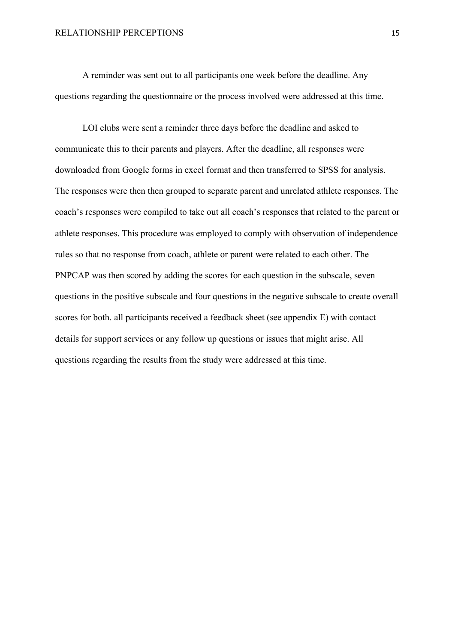A reminder was sent out to all participants one week before the deadline. Any questions regarding the questionnaire or the process involved were addressed at this time.

LOI clubs were sent a reminder three days before the deadline and asked to communicate this to their parents and players. After the deadline, all responses were downloaded from Google forms in excel format and then transferred to SPSS for analysis. The responses were then then grouped to separate parent and unrelated athlete responses. The coach's responses were compiled to take out all coach's responses that related to the parent or athlete responses. This procedure was employed to comply with observation of independence rules so that no response from coach, athlete or parent were related to each other. The PNPCAP was then scored by adding the scores for each question in the subscale, seven questions in the positive subscale and four questions in the negative subscale to create overall scores for both. all participants received a feedback sheet (see appendix E) with contact details for support services or any follow up questions or issues that might arise. All questions regarding the results from the study were addressed at this time.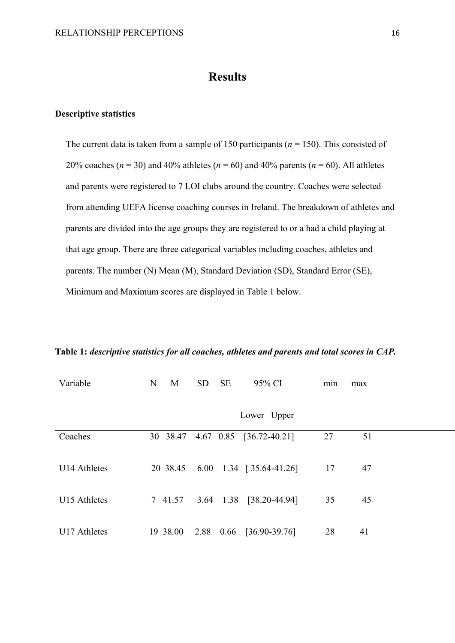# **Results**

### <span id="page-18-1"></span><span id="page-18-0"></span>**Descriptive statistics**

The current data is taken from a sample of 150 participants (*n* = 150). This consisted of 20% coaches ( $n = 30$ ) and 40% athletes ( $n = 60$ ) and 40% parents ( $n = 60$ ). All athletes and parents were registered to 7 LOI clubs around the country. Coaches were selected from attending UEFA license coaching courses in Ireland. The breakdown of athletes and parents are divided into the age groups they are registered to or a had a child playing at that age group. There are three categorical variables including coaches, athletes and parents. The number (N) Mean (M), Standard Deviation (SD), Standard Error (SE), Minimum and Maximum scores are displayed in Table 1 below.

**Table 1:** *descriptive statistics for all coaches, athletes and parents and total scores in CAP.*

| Variable     | N<br>M   | <b>SD</b><br><b>SE</b><br>95% CI  | min | max |
|--------------|----------|-----------------------------------|-----|-----|
|              |          | Lower Upper                       |     |     |
| Coaches      |          | 30 38.47 4.67 0.85 [36.72-40.21]  | 27  | 51  |
| U14 Athletes |          | 20 38.45 6.00 1.34 [ 35.64-41.26] | 17  | 47  |
| U15 Athletes | 7 41.57  | 3.64 1.38 [38.20-44.94]           | 35  | 45  |
| U17 Athletes | 19 38.00 | 2.88 0.66 [36.90-39.76]           | 28  | 41  |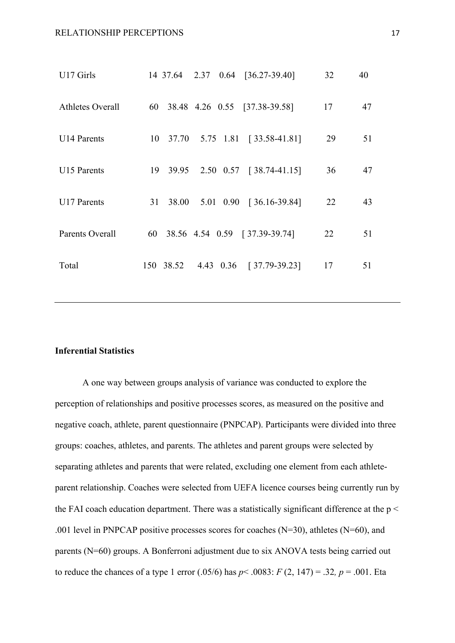| U17 Girls        |             | 14 37.64 2.37 0.64 [36.27-39.40]        | 32 | 40 |
|------------------|-------------|-----------------------------------------|----|----|
| Athletes Overall |             | 60 38.48 4.26 0.55 [37.38-39.58]        | 17 | 47 |
| U14 Parents      |             | 10 37.70 5.75 1.81 [33.58-41.81]        | 29 | 51 |
| U15 Parents      | 19 39.95    | $2.50 \quad 0.57 \quad [38.74 - 41.15]$ | 36 | 47 |
| U17 Parents      | 38.00<br>31 | 5.01 0.90 [ 36.16-39.84]                | 22 | 43 |
| Parents Overall  |             | 60 38.56 4.54 0.59 [37.39-39.74]        | 22 | 51 |
| Total            |             | 150 38.52 4.43 0.36 [37.79-39.23]       | 17 | 51 |
|                  |             |                                         |    |    |

### <span id="page-19-0"></span>**Inferential Statistics**

A one way between groups analysis of variance was conducted to explore the perception of relationships and positive processes scores, as measured on the positive and negative coach, athlete, parent questionnaire (PNPCAP). Participants were divided into three groups: coaches, athletes, and parents. The athletes and parent groups were selected by separating athletes and parents that were related, excluding one element from each athleteparent relationship. Coaches were selected from UEFA licence courses being currently run by the FAI coach education department. There was a statistically significant difference at the  $p <$ .001 level in PNPCAP positive processes scores for coaches  $(N=30)$ , athletes  $(N=60)$ , and parents (N=60) groups. A Bonferroni adjustment due to six ANOVA tests being carried out to reduce the chances of a type 1 error (.05/6) has  $p < .0083$ :  $F(2, 147) = .32$ ,  $p = .001$ . Eta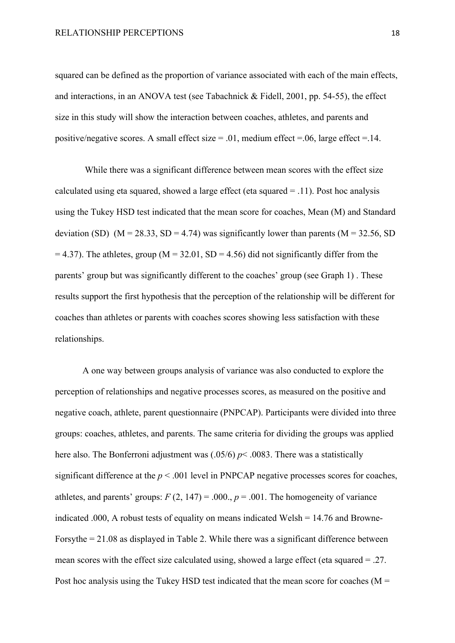#### RELATIONSHIP PERCEPTIONS 18

squared can be defined as the proportion of variance associated with each of the main effects, and interactions, in an ANOVA test (see Tabachnick & Fidell, 2001, pp. 54-55), the effect size in this study will show the interaction between coaches, athletes, and parents and positive/negative scores. A small effect size  $= .01$ , medium effect  $= .06$ , large effect  $= .14$ .

While there was a significant difference between mean scores with the effect size calculated using eta squared, showed a large effect (eta squared  $= .11$ ). Post hoc analysis using the Tukey HSD test indicated that the mean score for coaches, Mean (M) and Standard deviation (SD) ( $M = 28.33$ , SD = 4.74) was significantly lower than parents ( $M = 32.56$ , SD  $= 4.37$ ). The athletes, group (M = 32.01, SD = 4.56) did not significantly differ from the parents' group but was significantly different to the coaches' group (see Graph 1) . These results support the first hypothesis that the perception of the relationship will be different for coaches than athletes or parents with coaches scores showing less satisfaction with these relationships.

A one way between groups analysis of variance was also conducted to explore the perception of relationships and negative processes scores, as measured on the positive and negative coach, athlete, parent questionnaire (PNPCAP). Participants were divided into three groups: coaches, athletes, and parents. The same criteria for dividing the groups was applied here also. The Bonferroni adjustment was (.05/6) *p*< .0083. There was a statistically significant difference at the  $p < .001$  level in PNPCAP negative processes scores for coaches, athletes, and parents' groups:  $F(2, 147) = .000$ .,  $p = .001$ . The homogeneity of variance indicated .000, A robust tests of equality on means indicated Welsh = 14.76 and Browne-Forsythe = 21.08 as displayed in Table 2. While there was a significant difference between mean scores with the effect size calculated using, showed a large effect (eta squared = .27. Post hoc analysis using the Tukey HSD test indicated that the mean score for coaches ( $M =$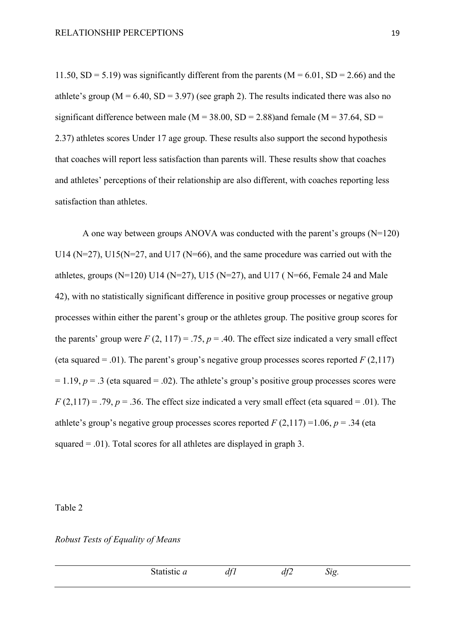11.50,  $SD = 5.19$ ) was significantly different from the parents (M = 6.01,  $SD = 2.66$ ) and the athlete's group ( $M = 6.40$ ,  $SD = 3.97$ ) (see graph 2). The results indicated there was also no significant difference between male ( $M = 38.00$ ,  $SD = 2.88$ ) and female ( $M = 37.64$ ,  $SD =$ 2.37) athletes scores Under 17 age group. These results also support the second hypothesis that coaches will report less satisfaction than parents will. These results show that coaches and athletes' perceptions of their relationship are also different, with coaches reporting less satisfaction than athletes.

A one way between groups ANOVA was conducted with the parent's groups (N=120) U14 ( $N=27$ ), U15( $N=27$ , and U17 ( $N=66$ ), and the same procedure was carried out with the athletes, groups (N=120) U14 (N=27), U15 (N=27), and U17 ( $N=66$ , Female 24 and Male 42), with no statistically significant difference in positive group processes or negative group processes within either the parent's group or the athletes group. The positive group scores for the parents' group were  $F(2, 117) = .75$ ,  $p = .40$ . The effect size indicated a very small effect (eta squared = .01). The parent's group's negative group processes scores reported  $F(2,117)$  $= 1.19$ ,  $p = .3$  (eta squared  $= .02$ ). The athlete's group's positive group processes scores were  $F(2,117) = .79$ ,  $p = .36$ . The effect size indicated a very small effect (eta squared = .01). The athlete's group's negative group processes scores reported  $F(2,117) = 1.06$ ,  $p = .34$  (eta squared  $= .01$ ). Total scores for all athletes are displayed in graph 3.

Table 2

*Robust Tests of Equality of Means*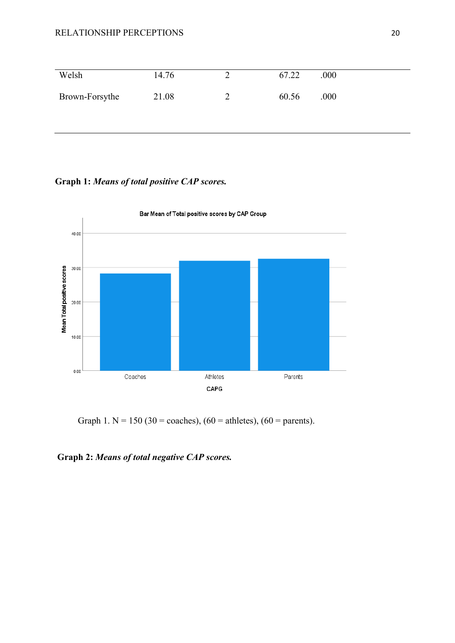### RELATIONSHIP PERCEPTIONS 20

| Welsh          | 14.76 | 67.22 | .000 |
|----------------|-------|-------|------|
| Brown-Forsythe | 21.08 | 60.56 | .000 |

# **Graph 1:** *Means of total positive CAP scores.*



Bar Mean of Total positive scores by CAP Group

Graph 1. N = 150 (30 = coaches), (60 = athletes), (60 = parents).

## **Graph 2:** *Means of total negative CAP scores.*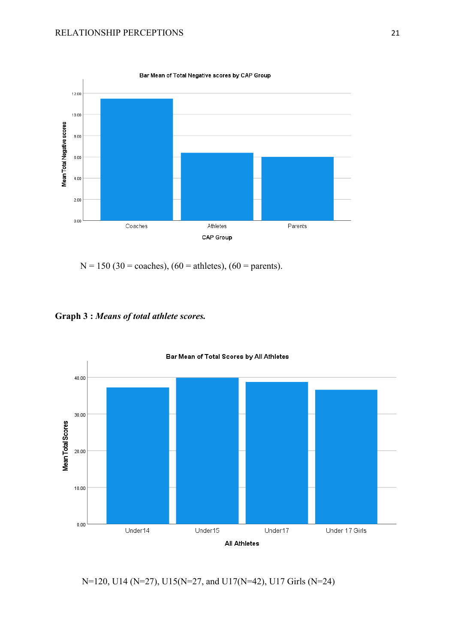

 $N = 150 (30 = coaches), (60 = athletes), (60 = parents).$ 

<span id="page-23-0"></span>**Graph 3 :** *Means of total athlete scores.*



N=120, U14 (N=27), U15(N=27, and U17(N=42), U17 Girls (N=24)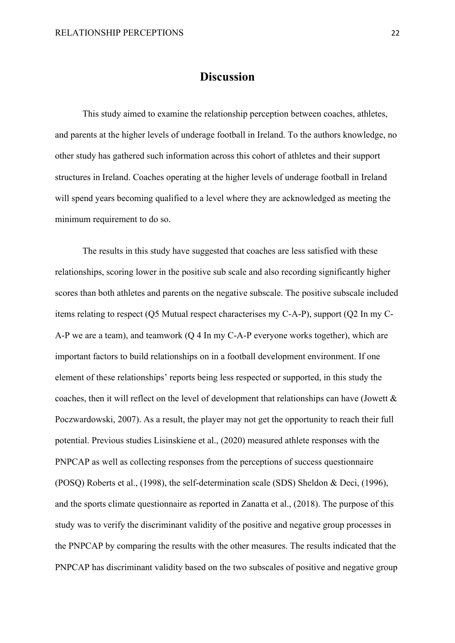### **Discussion**

This study aimed to examine the relationship perception between coaches, athletes, and parents at the higher levels of underage football in Ireland. To the authors knowledge, no other study has gathered such information across this cohort of athletes and their support structures in Ireland. Coaches operating at the higher levels of underage football in Ireland will spend years becoming qualified to a level where they are acknowledged as meeting the minimum requirement to do so.

The results in this study have suggested that coaches are less satisfied with these relationships, scoring lower in the positive sub scale and also recording significantly higher scores than both athletes and parents on the negative subscale. The positive subscale included items relating to respect (Q5 Mutual respect characterises my C-A-P), support (Q2 In my C-A-P we are a team), and teamwork (Q 4 In my C-A-P everyone works together), which are important factors to build relationships on in a football development environment. If one element of these relationships' reports being less respected or supported, in this study the coaches, then it will reflect on the level of development that relationships can have (Jowett & Poczwardowski, 2007). As a result, the player may not get the opportunity to reach their full potential. Previous studies Lisinskiene et al., (2020) measured athlete responses with the PNPCAP as well as collecting responses from the perceptions of success questionnaire (POSQ) Roberts et al., (1998), the self-determination scale (SDS) Sheldon & Deci, (1996), and the sports climate questionnaire as reported in Zanatta et al., (2018). The purpose of this study was to verify the discriminant validity of the positive and negative group processes in the PNPCAP by comparing the results with the other measures. The results indicated that the PNPCAP has discriminant validity based on the two subscales of positive and negative group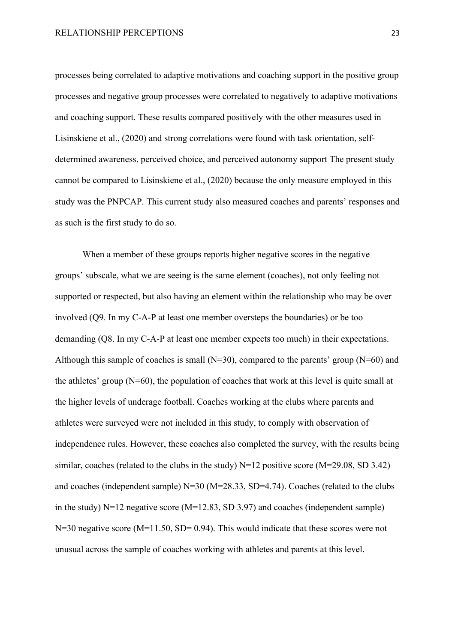processes being correlated to adaptive motivations and coaching support in the positive group processes and negative group processes were correlated to negatively to adaptive motivations and coaching support. These results compared positively with the other measures used in Lisinskiene et al., (2020) and strong correlations were found with task orientation, selfdetermined awareness, perceived choice, and perceived autonomy support The present study cannot be compared to Lisinskiene et al., (2020) because the only measure employed in this study was the PNPCAP. This current study also measured coaches and parents' responses and as such is the first study to do so.

When a member of these groups reports higher negative scores in the negative groups' subscale, what we are seeing is the same element (coaches), not only feeling not supported or respected, but also having an element within the relationship who may be over involved (Q9. In my C-A-P at least one member oversteps the boundaries) or be too demanding (Q8. In my C-A-P at least one member expects too much) in their expectations. Although this sample of coaches is small  $(N=30)$ , compared to the parents' group  $(N=60)$  and the athletes' group (N=60), the population of coaches that work at this level is quite small at the higher levels of underage football. Coaches working at the clubs where parents and athletes were surveyed were not included in this study, to comply with observation of independence rules. However, these coaches also completed the survey, with the results being similar, coaches (related to the clubs in the study)  $N=12$  positive score (M=29.08, SD 3.42) and coaches (independent sample) N=30 (M=28.33, SD=4.74). Coaches (related to the clubs in the study) N=12 negative score (M=12.83, SD 3.97) and coaches (independent sample)  $N=30$  negative score ( $M=11.50$ ,  $SD= 0.94$ ). This would indicate that these scores were not unusual across the sample of coaches working with athletes and parents at this level.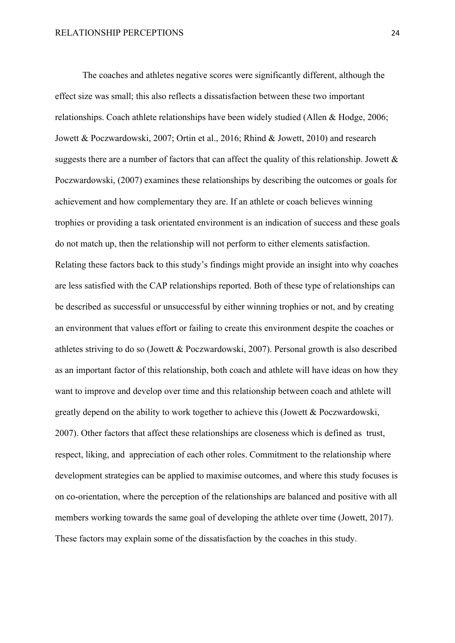The coaches and athletes negative scores were significantly different, although the effect size was small; this also reflects a dissatisfaction between these two important relationships. Coach athlete relationships have been widely studied (Allen & Hodge, 2006; Jowett & Poczwardowski, 2007; Ortin et al., 2016; Rhind & Jowett, 2010) and research suggests there are a number of factors that can affect the quality of this relationship. Jowett & Poczwardowski, (2007) examines these relationships by describing the outcomes or goals for achievement and how complementary they are. If an athlete or coach believes winning trophies or providing a task orientated environment is an indication of success and these goals do not match up, then the relationship will not perform to either elements satisfaction. Relating these factors back to this study's findings might provide an insight into why coaches are less satisfied with the CAP relationships reported. Both of these type of relationships can be described as successful or unsuccessful by either winning trophies or not, and by creating an environment that values effort or failing to create this environment despite the coaches or athletes striving to do so (Jowett & Poczwardowski, 2007). Personal growth is also described as an important factor of this relationship, both coach and athlete will have ideas on how they want to improve and develop over time and this relationship between coach and athlete will greatly depend on the ability to work together to achieve this (Jowett & Poczwardowski, 2007). Other factors that affect these relationships are closeness which is defined as trust, respect, liking, and appreciation of each other roles. Commitment to the relationship where development strategies can be applied to maximise outcomes, and where this study focuses is on co-orientation, where the perception of the relationships are balanced and positive with all members working towards the same goal of developing the athlete over time (Jowett, 2017). These factors may explain some of the dissatisfaction by the coaches in this study.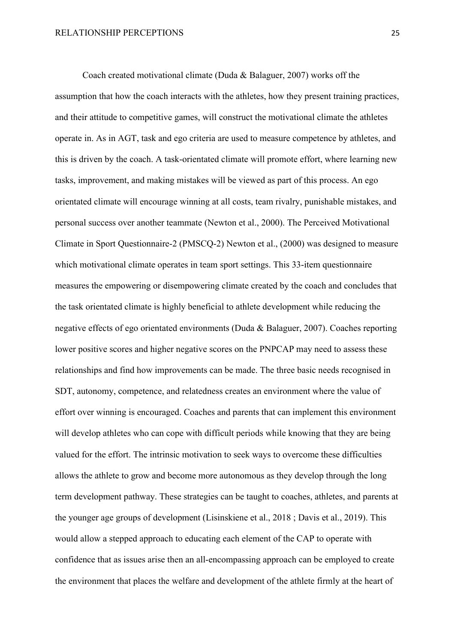Coach created motivational climate (Duda & Balaguer, 2007) works off the assumption that how the coach interacts with the athletes, how they present training practices, and their attitude to competitive games, will construct the motivational climate the athletes operate in. As in AGT, task and ego criteria are used to measure competence by athletes, and this is driven by the coach. A task-orientated climate will promote effort, where learning new tasks, improvement, and making mistakes will be viewed as part of this process. An ego orientated climate will encourage winning at all costs, team rivalry, punishable mistakes, and personal success over another teammate (Newton et al., 2000). The Perceived Motivational Climate in Sport Questionnaire-2 (PMSCQ-2) Newton et al., (2000) was designed to measure which motivational climate operates in team sport settings. This 33-item questionnaire measures the empowering or disempowering climate created by the coach and concludes that the task orientated climate is highly beneficial to athlete development while reducing the negative effects of ego orientated environments (Duda & Balaguer, 2007). Coaches reporting lower positive scores and higher negative scores on the PNPCAP may need to assess these relationships and find how improvements can be made. The three basic needs recognised in SDT, autonomy, competence, and relatedness creates an environment where the value of effort over winning is encouraged. Coaches and parents that can implement this environment will develop athletes who can cope with difficult periods while knowing that they are being valued for the effort. The intrinsic motivation to seek ways to overcome these difficulties allows the athlete to grow and become more autonomous as they develop through the long term development pathway. These strategies can be taught to coaches, athletes, and parents at the younger age groups of development (Lisinskiene et al., 2018 ; Davis et al., 2019). This would allow a stepped approach to educating each element of the CAP to operate with confidence that as issues arise then an all-encompassing approach can be employed to create the environment that places the welfare and development of the athlete firmly at the heart of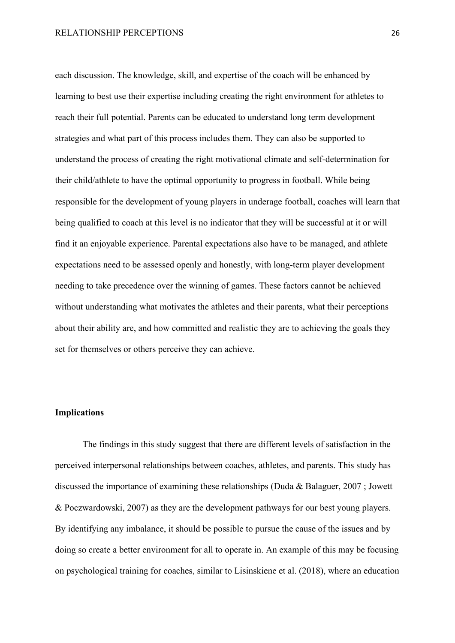each discussion. The knowledge, skill, and expertise of the coach will be enhanced by learning to best use their expertise including creating the right environment for athletes to reach their full potential. Parents can be educated to understand long term development strategies and what part of this process includes them. They can also be supported to understand the process of creating the right motivational climate and self-determination for their child/athlete to have the optimal opportunity to progress in football. While being responsible for the development of young players in underage football, coaches will learn that being qualified to coach at this level is no indicator that they will be successful at it or will find it an enjoyable experience. Parental expectations also have to be managed, and athlete expectations need to be assessed openly and honestly, with long-term player development needing to take precedence over the winning of games. These factors cannot be achieved without understanding what motivates the athletes and their parents, what their perceptions about their ability are, and how committed and realistic they are to achieving the goals they set for themselves or others perceive they can achieve.

### <span id="page-28-0"></span>**Implications**

The findings in this study suggest that there are different levels of satisfaction in the perceived interpersonal relationships between coaches, athletes, and parents. This study has discussed the importance of examining these relationships (Duda & Balaguer, 2007 ; Jowett & Poczwardowski, 2007) as they are the development pathways for our best young players. By identifying any imbalance, it should be possible to pursue the cause of the issues and by doing so create a better environment for all to operate in. An example of this may be focusing on psychological training for coaches, similar to Lisinskiene et al. (2018), where an education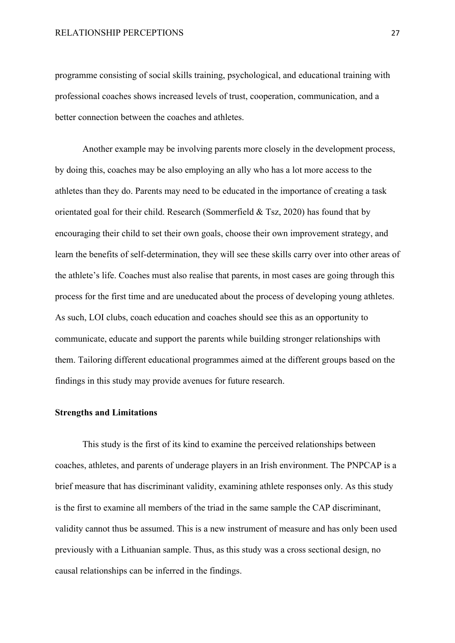programme consisting of social skills training, psychological, and educational training with professional coaches shows increased levels of trust, cooperation, communication, and a better connection between the coaches and athletes.

Another example may be involving parents more closely in the development process, by doing this, coaches may be also employing an ally who has a lot more access to the athletes than they do. Parents may need to be educated in the importance of creating a task orientated goal for their child. Research (Sommerfield & Tsz, 2020) has found that by encouraging their child to set their own goals, choose their own improvement strategy, and learn the benefits of self-determination, they will see these skills carry over into other areas of the athlete's life. Coaches must also realise that parents, in most cases are going through this process for the first time and are uneducated about the process of developing young athletes. As such, LOI clubs, coach education and coaches should see this as an opportunity to communicate, educate and support the parents while building stronger relationships with them. Tailoring different educational programmes aimed at the different groups based on the findings in this study may provide avenues for future research.

#### <span id="page-29-0"></span>**Strengths and Limitations**

This study is the first of its kind to examine the perceived relationships between coaches, athletes, and parents of underage players in an Irish environment. The PNPCAP is a brief measure that has discriminant validity, examining athlete responses only. As this study is the first to examine all members of the triad in the same sample the CAP discriminant, validity cannot thus be assumed. This is a new instrument of measure and has only been used previously with a Lithuanian sample. Thus, as this study was a cross sectional design, no causal relationships can be inferred in the findings.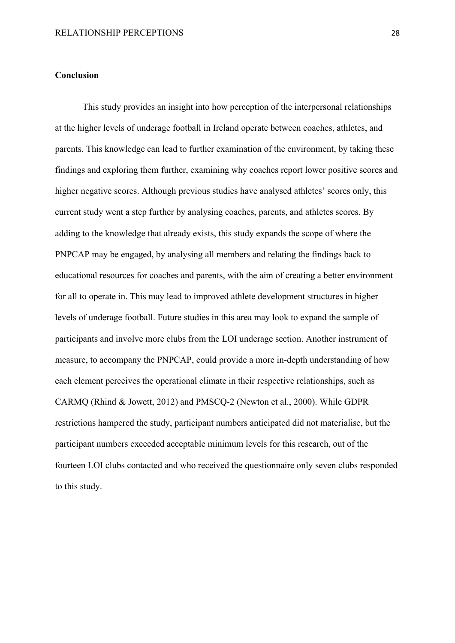### <span id="page-30-0"></span>**Conclusion**

This study provides an insight into how perception of the interpersonal relationships at the higher levels of underage football in Ireland operate between coaches, athletes, and parents. This knowledge can lead to further examination of the environment, by taking these findings and exploring them further, examining why coaches report lower positive scores and higher negative scores. Although previous studies have analysed athletes' scores only, this current study went a step further by analysing coaches, parents, and athletes scores. By adding to the knowledge that already exists, this study expands the scope of where the PNPCAP may be engaged, by analysing all members and relating the findings back to educational resources for coaches and parents, with the aim of creating a better environment for all to operate in. This may lead to improved athlete development structures in higher levels of underage football. Future studies in this area may look to expand the sample of participants and involve more clubs from the LOI underage section. Another instrument of measure, to accompany the PNPCAP, could provide a more in-depth understanding of how each element perceives the operational climate in their respective relationships, such as CARMQ (Rhind & Jowett, 2012) and PMSCQ-2 (Newton et al., 2000). While GDPR restrictions hampered the study, participant numbers anticipated did not materialise, but the participant numbers exceeded acceptable minimum levels for this research, out of the fourteen LOI clubs contacted and who received the questionnaire only seven clubs responded to this study.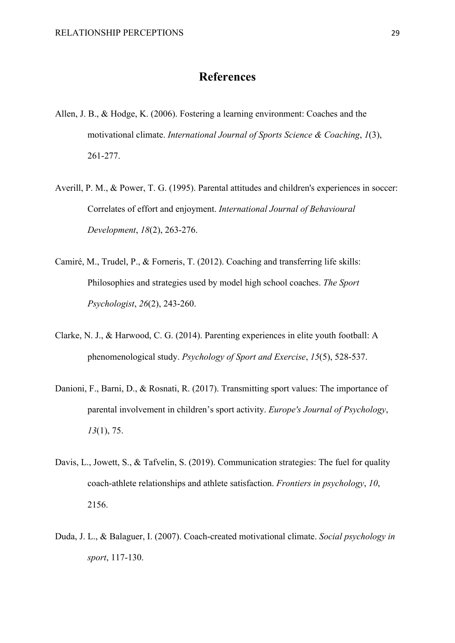# **References**

- <span id="page-31-0"></span>Allen, J. B., & Hodge, K. (2006). Fostering a learning environment: Coaches and the motivational climate. *International Journal of Sports Science & Coaching*, *1*(3), 261-277.
- Averill, P. M., & Power, T. G. (1995). Parental attitudes and children's experiences in soccer: Correlates of effort and enjoyment. *International Journal of Behavioural Development*, *18*(2), 263-276.
- Camiré, M., Trudel, P., & Forneris, T. (2012). Coaching and transferring life skills: Philosophies and strategies used by model high school coaches. *The Sport Psychologist*, *26*(2), 243-260.
- Clarke, N. J., & Harwood, C. G. (2014). Parenting experiences in elite youth football: A phenomenological study. *Psychology of Sport and Exercise*, *15*(5), 528-537.
- Danioni, F., Barni, D., & Rosnati, R. (2017). Transmitting sport values: The importance of parental involvement in children's sport activity. *Europe's Journal of Psychology*, *13*(1), 75.
- Davis, L., Jowett, S., & Tafvelin, S. (2019). Communication strategies: The fuel for quality coach-athlete relationships and athlete satisfaction. *Frontiers in psychology*, *10*, 2156.
- Duda, J. L., & Balaguer, I. (2007). Coach-created motivational climate. *Social psychology in sport*, 117-130.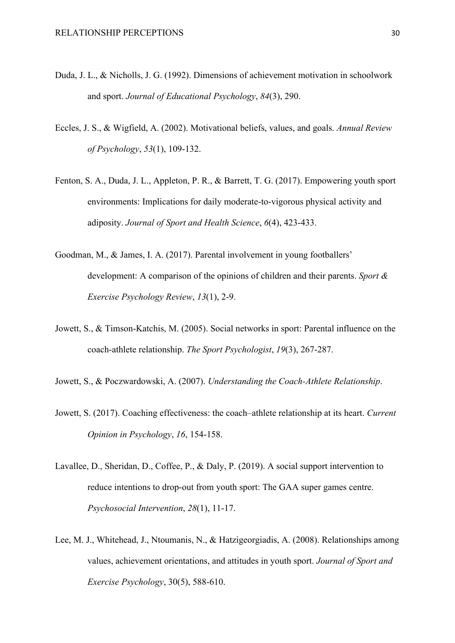- Duda, J. L., & Nicholls, J. G. (1992). Dimensions of achievement motivation in schoolwork and sport. *Journal of Educational Psychology*, *84*(3), 290.
- Eccles, J. S., & Wigfield, A. (2002). Motivational beliefs, values, and goals. *Annual Review of Psychology*, *53*(1), 109-132.
- Fenton, S. A., Duda, J. L., Appleton, P. R., & Barrett, T. G. (2017). Empowering youth sport environments: Implications for daily moderate-to-vigorous physical activity and adiposity. *Journal of Sport and Health Science*, *6*(4), 423-433.
- Goodman, M., & James, I. A. (2017). Parental involvement in young footballers' development: A comparison of the opinions of children and their parents. *Sport & Exercise Psychology Review*, *13*(1), 2-9.
- Jowett, S., & Timson-Katchis, M. (2005). Social networks in sport: Parental influence on the coach-athlete relationship. *The Sport Psychologist*, *19*(3), 267-287.
- Jowett, S., & Poczwardowski, A. (2007). *Understanding the Coach-Athlete Relationship*.
- Jowett, S. (2017). Coaching effectiveness: the coach–athlete relationship at its heart. *Current Opinion in Psychology*, *16*, 154-158.
- Lavallee, D., Sheridan, D., Coffee, P., & Daly, P. (2019). A social support intervention to reduce intentions to drop-out from youth sport: The GAA super games centre. *Psychosocial Intervention*, *28*(1), 11-17.
- Lee, M. J., Whitehead, J., Ntoumanis, N., & Hatzigeorgiadis, A. (2008). Relationships among values, achievement orientations, and attitudes in youth sport. *Journal of Sport and Exercise Psychology*, 30(5), 588-610.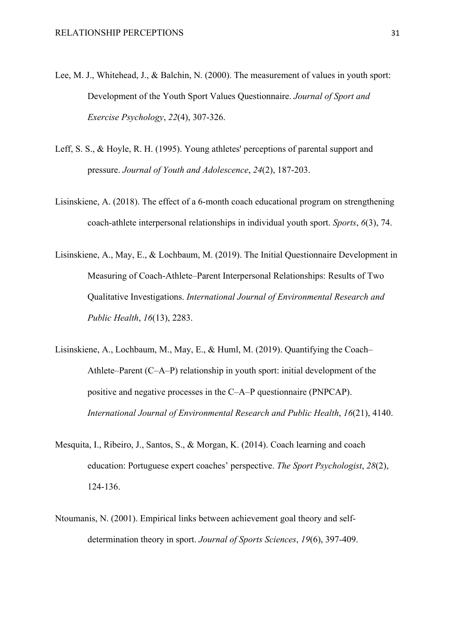- Lee, M. J., Whitehead, J., & Balchin, N. (2000). The measurement of values in youth sport: Development of the Youth Sport Values Questionnaire. *Journal of Sport and Exercise Psychology*, *22*(4), 307-326.
- Leff, S. S., & Hoyle, R. H. (1995). Young athletes' perceptions of parental support and pressure. *Journal of Youth and Adolescence*, *24*(2), 187-203.
- Lisinskiene, A. (2018). The effect of a 6-month coach educational program on strengthening coach-athlete interpersonal relationships in individual youth sport. *Sports*, *6*(3), 74.
- Lisinskiene, A., May, E., & Lochbaum, M. (2019). The Initial Questionnaire Development in Measuring of Coach-Athlete–Parent Interpersonal Relationships: Results of Two Qualitative Investigations. *International Journal of Environmental Research and Public Health*, *16*(13), 2283.
- Lisinskiene, A., Lochbaum, M., May, E., & Huml, M. (2019). Quantifying the Coach– Athlete–Parent (C–A–P) relationship in youth sport: initial development of the positive and negative processes in the C–A–P questionnaire (PNPCAP). *International Journal of Environmental Research and Public Health*, *16*(21), 4140.
- Mesquita, I., Ribeiro, J., Santos, S., & Morgan, K. (2014). Coach learning and coach education: Portuguese expert coaches' perspective. *The Sport Psychologist*, *28*(2), 124-136.
- Ntoumanis, N. (2001). Empirical links between achievement goal theory and selfdetermination theory in sport. *Journal of Sports Sciences*, *19*(6), 397-409.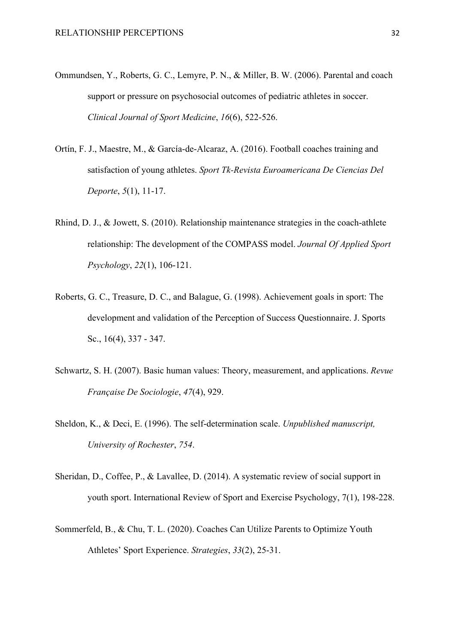- Ommundsen, Y., Roberts, G. C., Lemyre, P. N., & Miller, B. W. (2006). Parental and coach support or pressure on psychosocial outcomes of pediatric athletes in soccer. *Clinical Journal of Sport Medicine*, *16*(6), 522-526.
- Ortín, F. J., Maestre, M., & García-de-Alcaraz, A. (2016). Football coaches training and satisfaction of young athletes. *Sport Tk-Revista Euroamericana De Ciencias Del Deporte*, *5*(1), 11-17.
- Rhind, D. J., & Jowett, S. (2010). Relationship maintenance strategies in the coach-athlete relationship: The development of the COMPASS model. *Journal Of Applied Sport Psychology*, *22*(1), 106-121.
- Roberts, G. C., Treasure, D. C., and Balague, G. (1998). Achievement goals in sport: The development and validation of the Perception of Success Questionnaire. J. Sports Sc., 16(4), 337 - 347.
- Schwartz, S. H. (2007). Basic human values: Theory, measurement, and applications. *Revue Française De Sociologie*, *47*(4), 929.
- Sheldon, K., & Deci, E. (1996). The self-determination scale. *Unpublished manuscript, University of Rochester*, *754*.
- Sheridan, D., Coffee, P., & Lavallee, D. (2014). A systematic review of social support in youth sport. International Review of Sport and Exercise Psychology, 7(1), 198-228.
- Sommerfeld, B., & Chu, T. L. (2020). Coaches Can Utilize Parents to Optimize Youth Athletes' Sport Experience. *Strategies*, *33*(2), 25-31.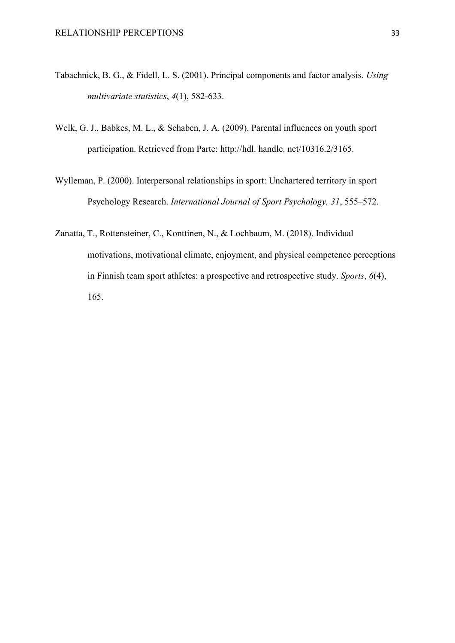- Tabachnick, B. G., & Fidell, L. S. (2001). Principal components and factor analysis. *Using multivariate statistics*, *4*(1), 582-633.
- Welk, G. J., Babkes, M. L., & Schaben, J. A. (2009). Parental influences on youth sport participation. Retrieved from Parte: http://hdl. handle. net/10316.2/3165.
- Wylleman, P. (2000). Interpersonal relationships in sport: Unchartered territory in sport Psychology Research. *International Journal of Sport Psychology, 31*, 555–572.
- Zanatta, T., Rottensteiner, C., Konttinen, N., & Lochbaum, M. (2018). Individual motivations, motivational climate, enjoyment, and physical competence perceptions in Finnish team sport athletes: a prospective and retrospective study. *Sports*, *6*(4), 165.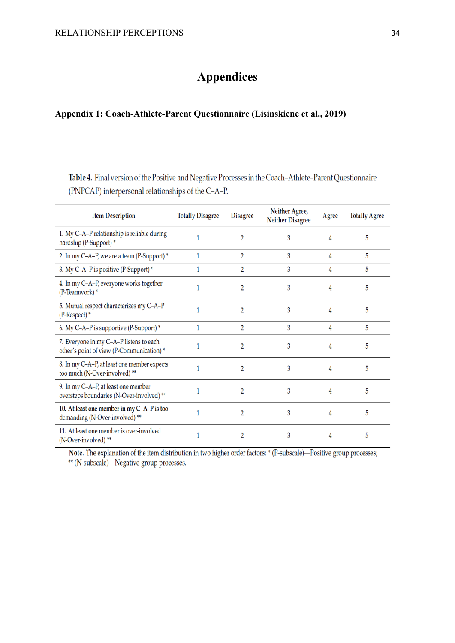# **Appendices**

### <span id="page-36-2"></span><span id="page-36-1"></span><span id="page-36-0"></span>**Appendix 1: Coach-Athlete-Parent Questionnaire (Lisinskiene et al., 2019)**

Table 4. Final version of the Positive and Negative Processes in the Coach-Athlete-Parent Questionnaire (PNPCAP) interpersonal relationships of the C-A-P.

| <b>Item Description</b>                                                              | <b>Totally Disagree</b> | <b>Disagree</b> | Neither Agree,<br><b>Neither Disagree</b> | Agree | <b>Totally Agree</b> |
|--------------------------------------------------------------------------------------|-------------------------|-----------------|-------------------------------------------|-------|----------------------|
| 1. My C-A-P relationship is reliable during<br>hardship (P-Support)*                 |                         | 2               | 3                                         | 4     | 5                    |
| 2. In my C-A-P, we are a team (P-Support) *                                          |                         | 2               | 3                                         | 4     | 5                    |
| 3. My C-A-P is positive (P-Support) *                                                |                         | 2               | 3                                         | 4     | 5                    |
| 4. In my C-A-P, everyone works together<br>(P-Teamwork)*                             |                         |                 | 3                                         | 4     | 5                    |
| 5. Mutual respect characterizes my C-A-P<br>(P-Respect)*                             |                         | $\overline{2}$  | 3                                         | 4     | 5                    |
| 6. My C-A-P is supportive (P-Support) *                                              | 1                       | 2               | 3                                         | 4     | 5                    |
| 7. Everyone in my C-A-P listens to each<br>other's point of view (P-Communication) * |                         |                 | 3                                         | 4     | 5                    |
| 8. In my C-A-P, at least one member expects<br>too much (N-Over-involved) **         |                         |                 | 3                                         | 4     | 5                    |
| 9. In my C-A-P, at least one member<br>oversteps boundaries (N-Over-involved) **     |                         | 2               | 3                                         | 4     | 5                    |
| 10. At least one member in my C-A-P is too<br>demanding (N-Over-involved)**          |                         |                 | 3                                         | 4     | 5                    |
| 11. At least one member is over-involved<br>(N-Over-involved)**                      |                         |                 | 3                                         | 4     | 5                    |

Note. The explanation of the item distribution in two higher order factors: \* (P-subscale)—Positive group processes;

\*\* (N-subscale)-Negative group processes.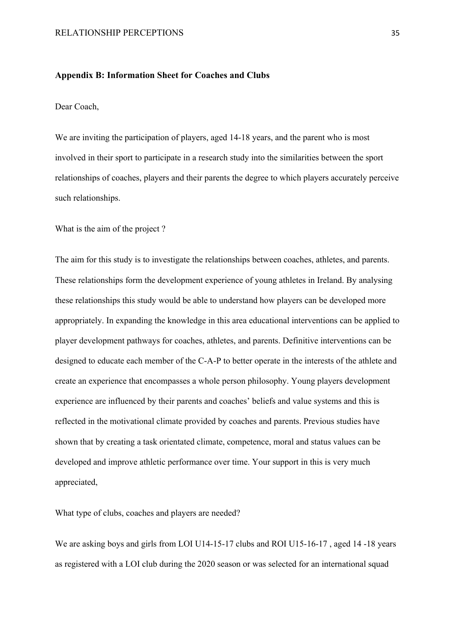### <span id="page-37-1"></span><span id="page-37-0"></span>**Appendix B: Information Sheet for Coaches and Clubs**

#### Dear Coach,

We are inviting the participation of players, aged 14-18 years, and the parent who is most involved in their sport to participate in a research study into the similarities between the sport relationships of coaches, players and their parents the degree to which players accurately perceive such relationships.

What is the aim of the project ?

The aim for this study is to investigate the relationships between coaches, athletes, and parents. These relationships form the development experience of young athletes in Ireland. By analysing these relationships this study would be able to understand how players can be developed more appropriately. In expanding the knowledge in this area educational interventions can be applied to player development pathways for coaches, athletes, and parents. Definitive interventions can be designed to educate each member of the C-A-P to better operate in the interests of the athlete and create an experience that encompasses a whole person philosophy. Young players development experience are influenced by their parents and coaches' beliefs and value systems and this is reflected in the motivational climate provided by coaches and parents. Previous studies have shown that by creating a task orientated climate, competence, moral and status values can be developed and improve athletic performance over time. Your support in this is very much appreciated,

What type of clubs, coaches and players are needed?

We are asking boys and girls from LOI U14-15-17 clubs and ROI U15-16-17, aged 14-18 years as registered with a LOI club during the 2020 season or was selected for an international squad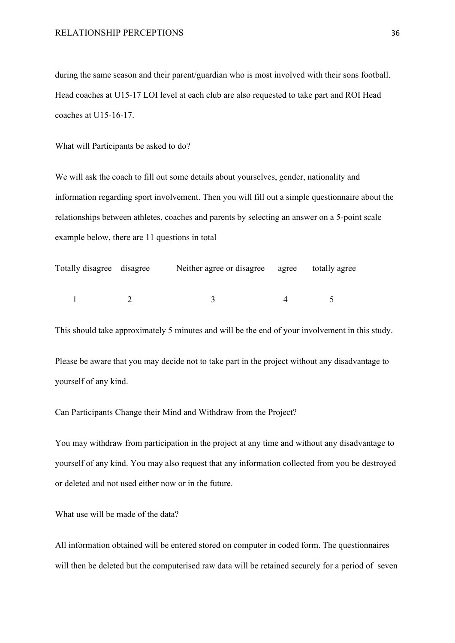during the same season and their parent/guardian who is most involved with their sons football. Head coaches at U15-17 LOI level at each club are also requested to take part and ROI Head coaches at U15-16-17.

What will Participants be asked to do?

We will ask the coach to fill out some details about yourselves, gender, nationality and information regarding sport involvement. Then you will fill out a simple questionnaire about the relationships between athletes, coaches and parents by selecting an answer on a 5-point scale example below, there are 11 questions in total

| Totally disagree disagree | Neither agree or disagree agree totally agree |  |
|---------------------------|-----------------------------------------------|--|
|                           |                                               |  |

This should take approximately 5 minutes and will be the end of your involvement in this study.

Please be aware that you may decide not to take part in the project without any disadvantage to yourself of any kind.

Can Participants Change their Mind and Withdraw from the Project?

You may withdraw from participation in the project at any time and without any disadvantage to yourself of any kind. You may also request that any information collected from you be destroyed or deleted and not used either now or in the future.

What use will be made of the data?

All information obtained will be entered stored on computer in coded form. The questionnaires will then be deleted but the computerised raw data will be retained securely for a period of seven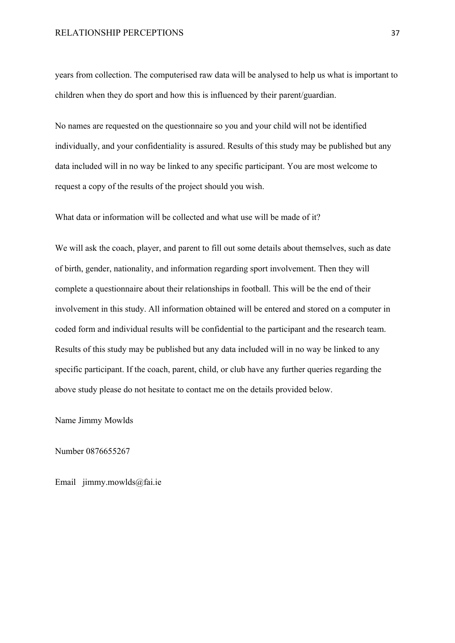years from collection. The computerised raw data will be analysed to help us what is important to children when they do sport and how this is influenced by their parent/guardian.

No names are requested on the questionnaire so you and your child will not be identified individually, and your confidentiality is assured. Results of this study may be published but any data included will in no way be linked to any specific participant. You are most welcome to request a copy of the results of the project should you wish.

What data or information will be collected and what use will be made of it?

We will ask the coach, player, and parent to fill out some details about themselves, such as date of birth, gender, nationality, and information regarding sport involvement. Then they will complete a questionnaire about their relationships in football. This will be the end of their involvement in this study. All information obtained will be entered and stored on a computer in coded form and individual results will be confidential to the participant and the research team. Results of this study may be published but any data included will in no way be linked to any specific participant. If the coach, parent, child, or club have any further queries regarding the above study please do not hesitate to contact me on the details provided below.

Name Jimmy Mowlds

Number 0876655267

Email jimmy.mowlds@fai.ie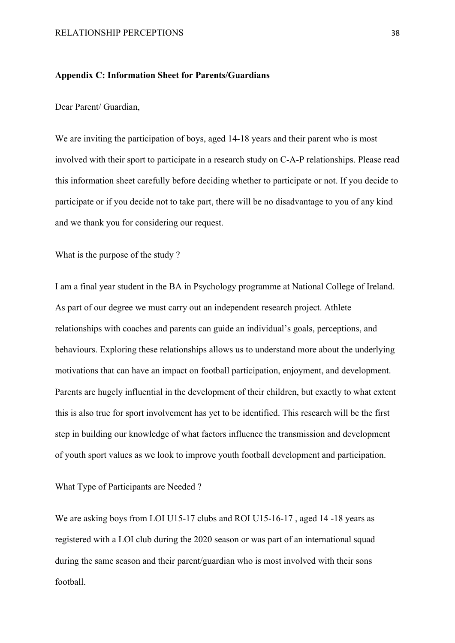### <span id="page-40-1"></span><span id="page-40-0"></span>**Appendix C: Information Sheet for Parents/Guardians**

Dear Parent/ Guardian,

We are inviting the participation of boys, aged 14-18 years and their parent who is most involved with their sport to participate in a research study on C-A-P relationships. Please read this information sheet carefully before deciding whether to participate or not. If you decide to participate or if you decide not to take part, there will be no disadvantage to you of any kind and we thank you for considering our request.

What is the purpose of the study ?

I am a final year student in the BA in Psychology programme at National College of Ireland. As part of our degree we must carry out an independent research project. Athlete relationships with coaches and parents can guide an individual's goals, perceptions, and behaviours. Exploring these relationships allows us to understand more about the underlying motivations that can have an impact on football participation, enjoyment, and development. Parents are hugely influential in the development of their children, but exactly to what extent this is also true for sport involvement has yet to be identified. This research will be the first step in building our knowledge of what factors influence the transmission and development of youth sport values as we look to improve youth football development and participation.

What Type of Participants are Needed ?

We are asking boys from LOI U15-17 clubs and ROI U15-16-17, aged 14-18 years as registered with a LOI club during the 2020 season or was part of an international squad during the same season and their parent/guardian who is most involved with their sons football.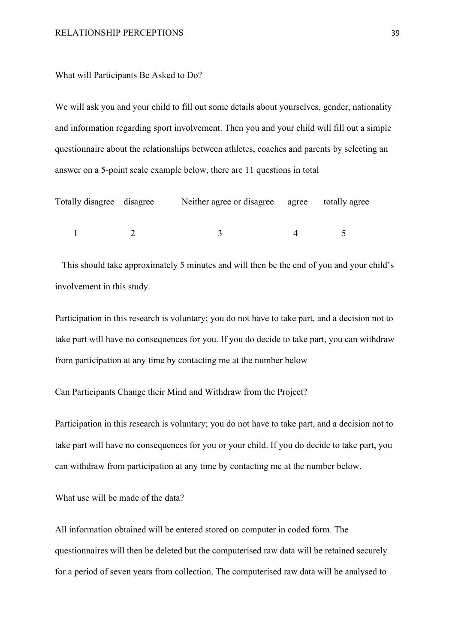#### What will Participants Be Asked to Do?

We will ask you and your child to fill out some details about yourselves, gender, nationality and information regarding sport involvement. Then you and your child will fill out a simple questionnaire about the relationships between athletes, coaches and parents by selecting an answer on a 5-point scale example below, there are 11 questions in total

| Totally disagree disagree | Neither agree or disagree agree totally agree |  |
|---------------------------|-----------------------------------------------|--|
|                           |                                               |  |

 This should take approximately 5 minutes and will then be the end of you and your child's involvement in this study.

Participation in this research is voluntary; you do not have to take part, and a decision not to take part will have no consequences for you. If you do decide to take part, you can withdraw from participation at any time by contacting me at the number below

Can Participants Change their Mind and Withdraw from the Project?

Participation in this research is voluntary; you do not have to take part, and a decision not to take part will have no consequences for you or your child. If you do decide to take part, you can withdraw from participation at any time by contacting me at the number below.

What use will be made of the data?

All information obtained will be entered stored on computer in coded form. The questionnaires will then be deleted but the computerised raw data will be retained securely for a period of seven years from collection. The computerised raw data will be analysed to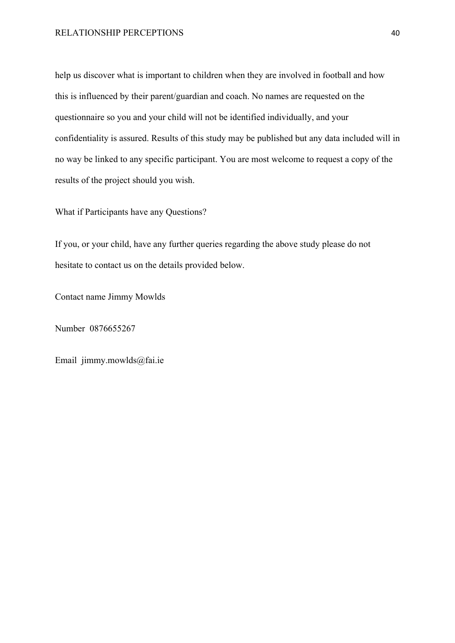help us discover what is important to children when they are involved in football and how this is influenced by their parent/guardian and coach. No names are requested on the questionnaire so you and your child will not be identified individually, and your confidentiality is assured. Results of this study may be published but any data included will in no way be linked to any specific participant. You are most welcome to request a copy of the results of the project should you wish.

What if Participants have any Questions?

If you, or your child, have any further queries regarding the above study please do not hesitate to contact us on the details provided below.

Contact name Jimmy Mowlds

Number 0876655267

Email jimmy.mowlds@fai.ie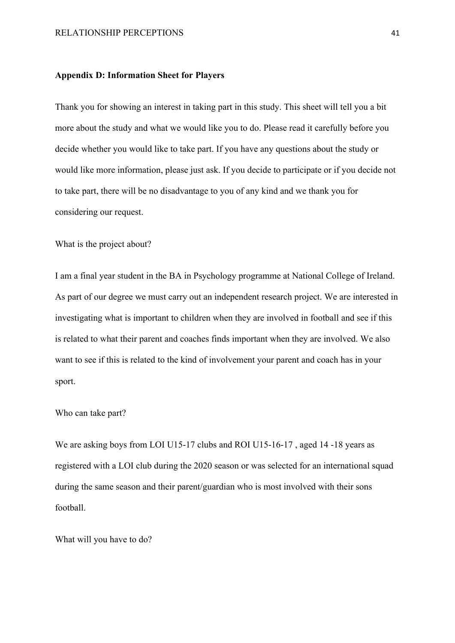#### <span id="page-43-1"></span><span id="page-43-0"></span>**Appendix D: Information Sheet for Players**

Thank you for showing an interest in taking part in this study. This sheet will tell you a bit more about the study and what we would like you to do. Please read it carefully before you decide whether you would like to take part. If you have any questions about the study or would like more information, please just ask. If you decide to participate or if you decide not to take part, there will be no disadvantage to you of any kind and we thank you for considering our request.

What is the project about?

I am a final year student in the BA in Psychology programme at National College of Ireland. As part of our degree we must carry out an independent research project. We are interested in investigating what is important to children when they are involved in football and see if this is related to what their parent and coaches finds important when they are involved. We also want to see if this is related to the kind of involvement your parent and coach has in your sport.

### Who can take part?

We are asking boys from LOI U15-17 clubs and ROI U15-16-17, aged 14-18 years as registered with a LOI club during the 2020 season or was selected for an international squad during the same season and their parent/guardian who is most involved with their sons football.

What will you have to do?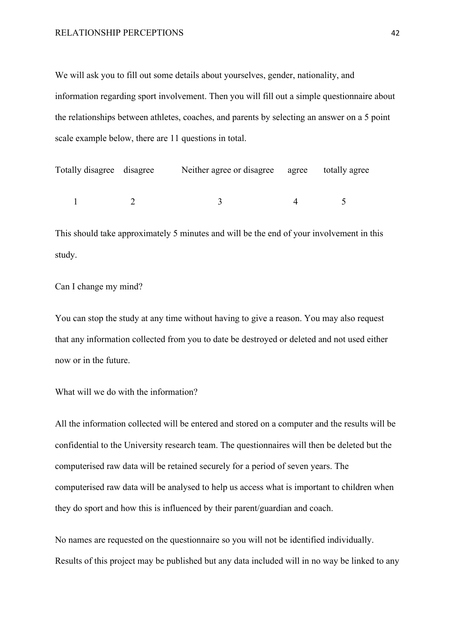We will ask you to fill out some details about yourselves, gender, nationality, and information regarding sport involvement. Then you will fill out a simple questionnaire about the relationships between athletes, coaches, and parents by selecting an answer on a 5 point scale example below, there are 11 questions in total.

| Totally disagree disagree | Neither agree or disagree agree totally agree |  |
|---------------------------|-----------------------------------------------|--|
|                           |                                               |  |

This should take approximately 5 minutes and will be the end of your involvement in this study.

Can I change my mind?

You can stop the study at any time without having to give a reason. You may also request that any information collected from you to date be destroyed or deleted and not used either now or in the future.

What will we do with the information?

All the information collected will be entered and stored on a computer and the results will be confidential to the University research team. The questionnaires will then be deleted but the computerised raw data will be retained securely for a period of seven years. The computerised raw data will be analysed to help us access what is important to children when they do sport and how this is influenced by their parent/guardian and coach.

No names are requested on the questionnaire so you will not be identified individually. Results of this project may be published but any data included will in no way be linked to any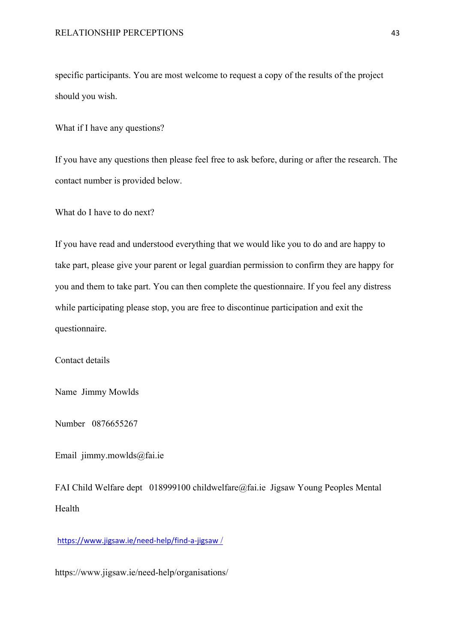specific participants. You are most welcome to request a copy of the results of the project should you wish.

What if I have any questions?

If you have any questions then please feel free to ask before, during or after the research. The contact number is provided below.

What do I have to do next?

If you have read and understood everything that we would like you to do and are happy to take part, please give your parent or legal guardian permission to confirm they are happy for you and them to take part. You can then complete the questionnaire. If you feel any distress while participating please stop, you are free to discontinue participation and exit the questionnaire.

Contact details

Name Jimmy Mowlds

Number 0876655267

Email jimmy.mowlds@fai.ie

FAI Child Welfare dept 018999100 childwelfare@fai.ie Jigsaw Young Peoples Mental Health

[https://www.jigsaw.ie/need-help/find-a-jigsaw](https://www.jigsaw.ie/need-help/find-a-jigsaw%20/) [/](https://www.jigsaw.ie/need-help/find-a-jigsaw%20/)

https://www.jigsaw.ie/need-help/organisations/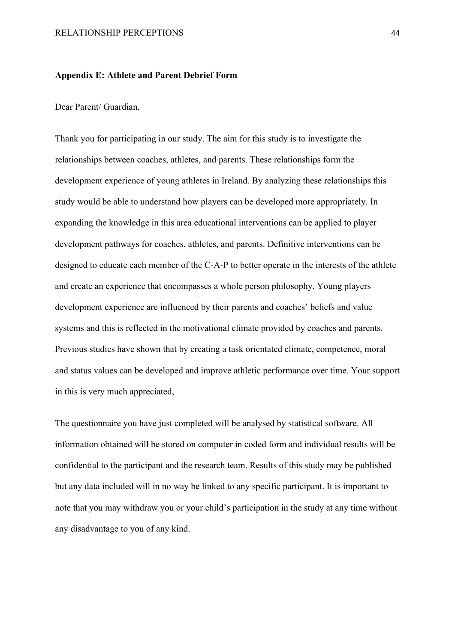#### <span id="page-46-1"></span><span id="page-46-0"></span>**Appendix E: Athlete and Parent Debrief Form**

Dear Parent/ Guardian,

Thank you for participating in our study. The aim for this study is to investigate the relationships between coaches, athletes, and parents. These relationships form the development experience of young athletes in Ireland. By analyzing these relationships this study would be able to understand how players can be developed more appropriately. In expanding the knowledge in this area educational interventions can be applied to player development pathways for coaches, athletes, and parents. Definitive interventions can be designed to educate each member of the C-A-P to better operate in the interests of the athlete and create an experience that encompasses a whole person philosophy. Young players development experience are influenced by their parents and coaches' beliefs and value systems and this is reflected in the motivational climate provided by coaches and parents. Previous studies have shown that by creating a task orientated climate, competence, moral and status values can be developed and improve athletic performance over time. Your support in this is very much appreciated,

The questionnaire you have just completed will be analysed by statistical software. All information obtained will be stored on computer in coded form and individual results will be confidential to the participant and the research team. Results of this study may be published but any data included will in no way be linked to any specific participant. It is important to note that you may withdraw you or your child's participation in the study at any time without any disadvantage to you of any kind.